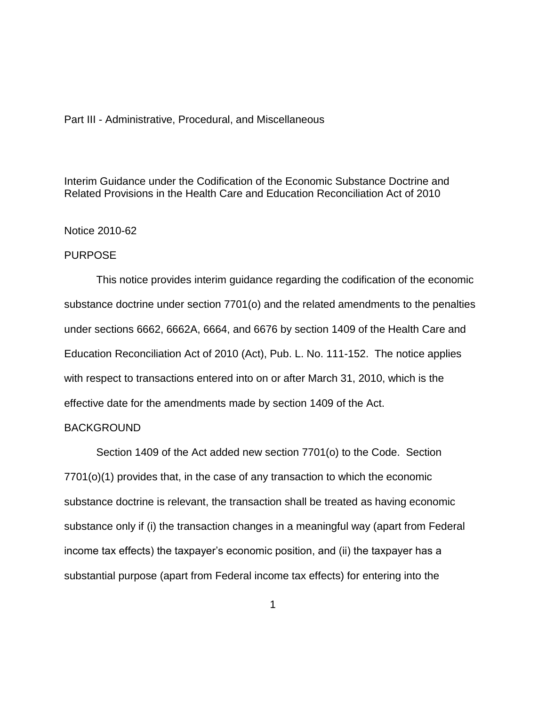## Part III - Administrative, Procedural, and Miscellaneous

Interim Guidance under the Codification of the Economic Substance Doctrine and Related Provisions in the Health Care and Education Reconciliation Act of 2010

## Notice 2010-62

# PURPOSE

This notice provides interim guidance regarding the codification of the economic substance doctrine under section 7701(o) and the related amendments to the penalties under sections 6662, 6662A, 6664, and 6676 by section 1409 of the Health Care and Education Reconciliation Act of 2010 (Act), Pub. L. No. 111-152. The notice applies with respect to transactions entered into on or after March 31, 2010, which is the effective date for the amendments made by section 1409 of the Act.

### BACKGROUND

Section 1409 of the Act added new section 7701(o) to the Code. Section 7701(o)(1) provides that, in the case of any transaction to which the economic substance doctrine is relevant, the transaction shall be treated as having economic substance only if (i) the transaction changes in a meaningful way (apart from Federal income tax effects) the taxpayer's economic position, and (ii) the taxpayer has a substantial purpose (apart from Federal income tax effects) for entering into the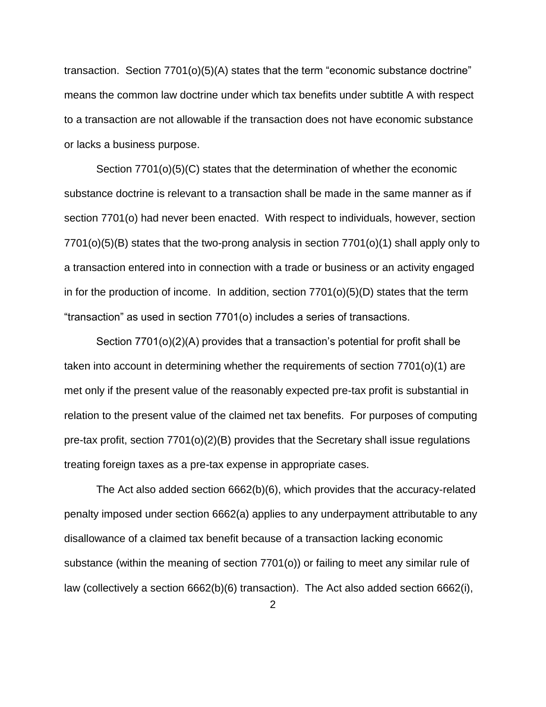transaction. Section 7701(o)(5)(A) states that the term "economic substance doctrine" means the common law doctrine under which tax benefits under subtitle A with respect to a transaction are not allowable if the transaction does not have economic substance or lacks a business purpose.

Section 7701(o)(5)(C) states that the determination of whether the economic substance doctrine is relevant to a transaction shall be made in the same manner as if section 7701(o) had never been enacted. With respect to individuals, however, section 7701(o)(5)(B) states that the two-prong analysis in section 7701(o)(1) shall apply only to a transaction entered into in connection with a trade or business or an activity engaged in for the production of income. In addition, section  $7701<sub>(5)</sub>(D)$  states that the term "transaction" as used in section 7701(o) includes a series of transactions.

Section 7701(o)(2)(A) provides that a transaction's potential for profit shall be taken into account in determining whether the requirements of section 7701(o)(1) are met only if the present value of the reasonably expected pre-tax profit is substantial in relation to the present value of the claimed net tax benefits. For purposes of computing pre-tax profit, section  $7701<sub>(o)</sub>(2)<sub>(B)</sub>$  provides that the Secretary shall issue regulations treating foreign taxes as a pre-tax expense in appropriate cases.

The Act also added section 6662(b)(6), which provides that the accuracy-related penalty imposed under section 6662(a) applies to any underpayment attributable to any disallowance of a claimed tax benefit because of a transaction lacking economic substance (within the meaning of section 7701(o)) or failing to meet any similar rule of law (collectively a section 6662(b)(6) transaction). The Act also added section 6662(i),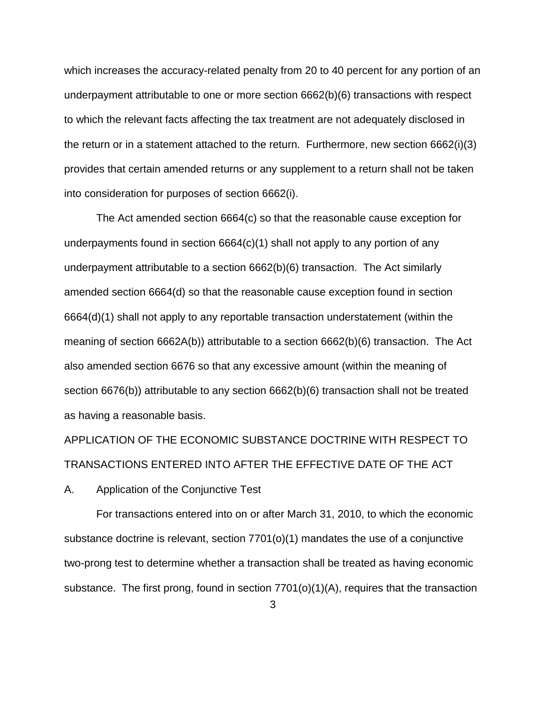which increases the accuracy-related penalty from 20 to 40 percent for any portion of an underpayment attributable to one or more section 6662(b)(6) transactions with respect to which the relevant facts affecting the tax treatment are not adequately disclosed in the return or in a statement attached to the return. Furthermore, new section 6662(i)(3) provides that certain amended returns or any supplement to a return shall not be taken into consideration for purposes of section 6662(i).

The Act amended section 6664(c) so that the reasonable cause exception for underpayments found in section 6664(c)(1) shall not apply to any portion of any underpayment attributable to a section 6662(b)(6) transaction. The Act similarly amended section 6664(d) so that the reasonable cause exception found in section 6664(d)(1) shall not apply to any reportable transaction understatement (within the meaning of section 6662A(b)) attributable to a section 6662(b)(6) transaction. The Act also amended section 6676 so that any excessive amount (within the meaning of section 6676(b)) attributable to any section 6662(b)(6) transaction shall not be treated as having a reasonable basis.

APPLICATION OF THE ECONOMIC SUBSTANCE DOCTRINE WITH RESPECT TO TRANSACTIONS ENTERED INTO AFTER THE EFFECTIVE DATE OF THE ACT

A. Application of the Conjunctive Test

For transactions entered into on or after March 31, 2010, to which the economic substance doctrine is relevant, section 7701(o)(1) mandates the use of a conjunctive two-prong test to determine whether a transaction shall be treated as having economic substance. The first prong, found in section 7701(o)(1)(A), requires that the transaction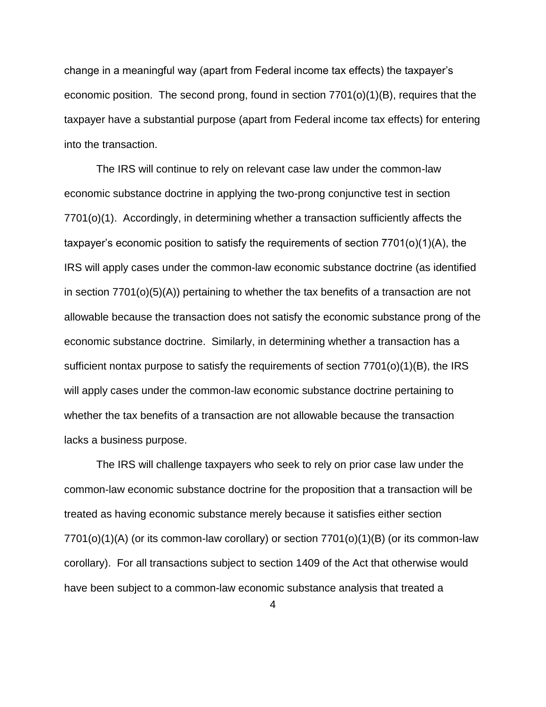change in a meaningful way (apart from Federal income tax effects) the taxpayer's economic position. The second prong, found in section 7701(o)(1)(B), requires that the taxpayer have a substantial purpose (apart from Federal income tax effects) for entering into the transaction.

The IRS will continue to rely on relevant case law under the common-law economic substance doctrine in applying the two-prong conjunctive test in section 7701(o)(1). Accordingly, in determining whether a transaction sufficiently affects the taxpayer's economic position to satisfy the requirements of section 7701(o)(1)(A), the IRS will apply cases under the common-law economic substance doctrine (as identified in section 7701(o)(5)(A)) pertaining to whether the tax benefits of a transaction are not allowable because the transaction does not satisfy the economic substance prong of the economic substance doctrine. Similarly, in determining whether a transaction has a sufficient nontax purpose to satisfy the requirements of section 7701(o)(1)(B), the IRS will apply cases under the common-law economic substance doctrine pertaining to whether the tax benefits of a transaction are not allowable because the transaction lacks a business purpose.

The IRS will challenge taxpayers who seek to rely on prior case law under the common-law economic substance doctrine for the proposition that a transaction will be treated as having economic substance merely because it satisfies either section 7701(o)(1)(A) (or its common-law corollary) or section 7701(o)(1)(B) (or its common-law corollary). For all transactions subject to section 1409 of the Act that otherwise would have been subject to a common-law economic substance analysis that treated a

4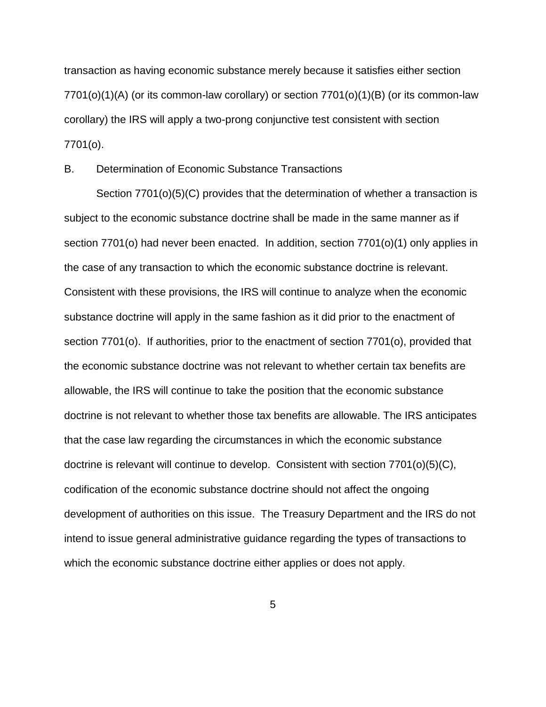transaction as having economic substance merely because it satisfies either section 7701(o)(1)(A) (or its common-law corollary) or section 7701(o)(1)(B) (or its common-law corollary) the IRS will apply a two-prong conjunctive test consistent with section 7701(o).

B. Determination of Economic Substance Transactions

Section 7701(o)(5)(C) provides that the determination of whether a transaction is subject to the economic substance doctrine shall be made in the same manner as if section 7701(o) had never been enacted. In addition, section 7701(o)(1) only applies in the case of any transaction to which the economic substance doctrine is relevant. Consistent with these provisions, the IRS will continue to analyze when the economic substance doctrine will apply in the same fashion as it did prior to the enactment of section 7701(o). If authorities, prior to the enactment of section 7701(o), provided that the economic substance doctrine was not relevant to whether certain tax benefits are allowable, the IRS will continue to take the position that the economic substance doctrine is not relevant to whether those tax benefits are allowable. The IRS anticipates that the case law regarding the circumstances in which the economic substance doctrine is relevant will continue to develop. Consistent with section 7701(o)(5)(C), codification of the economic substance doctrine should not affect the ongoing development of authorities on this issue. The Treasury Department and the IRS do not intend to issue general administrative guidance regarding the types of transactions to which the economic substance doctrine either applies or does not apply.

5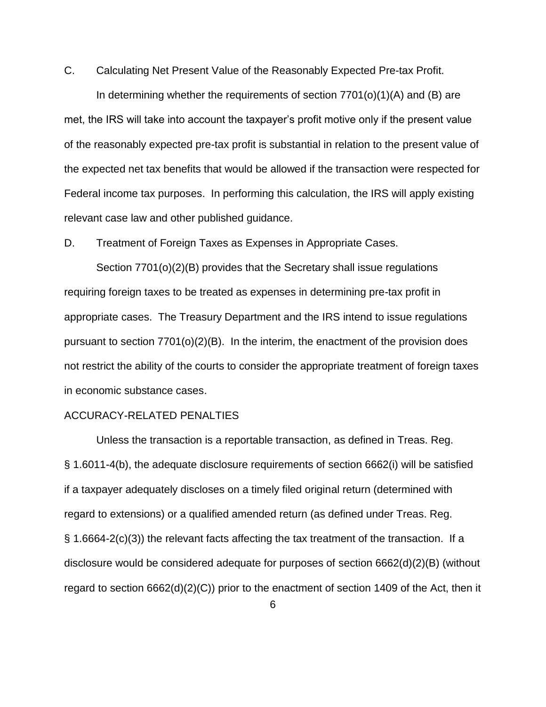C. Calculating Net Present Value of the Reasonably Expected Pre-tax Profit.

In determining whether the requirements of section 7701(o)(1)(A) and (B) are met, the IRS will take into account the taxpayer's profit motive only if the present value of the reasonably expected pre-tax profit is substantial in relation to the present value of the expected net tax benefits that would be allowed if the transaction were respected for Federal income tax purposes. In performing this calculation, the IRS will apply existing relevant case law and other published guidance.

D. Treatment of Foreign Taxes as Expenses in Appropriate Cases.

Section 7701(o)(2)(B) provides that the Secretary shall issue regulations requiring foreign taxes to be treated as expenses in determining pre-tax profit in appropriate cases. The Treasury Department and the IRS intend to issue regulations pursuant to section  $7701<sub>(o)</sub>(2)(B)$ . In the interim, the enactment of the provision does not restrict the ability of the courts to consider the appropriate treatment of foreign taxes in economic substance cases.

#### ACCURACY-RELATED PENALTIES

Unless the transaction is a reportable transaction, as defined in Treas. Reg. § 1.6011-4(b), the adequate disclosure requirements of section 6662(i) will be satisfied if a taxpayer adequately discloses on a timely filed original return (determined with regard to extensions) or a qualified amended return (as defined under Treas. Reg. § 1.6664-2(c)(3)) the relevant facts affecting the tax treatment of the transaction. If a disclosure would be considered adequate for purposes of section 6662(d)(2)(B) (without regard to section 6662(d)(2)(C)) prior to the enactment of section 1409 of the Act, then it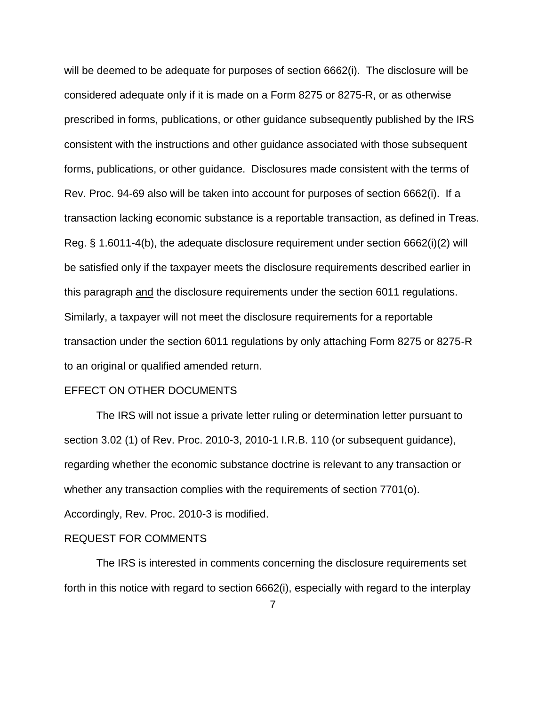will be deemed to be adequate for purposes of section 6662(i). The disclosure will be considered adequate only if it is made on a Form 8275 or 8275-R, or as otherwise prescribed in forms, publications, or other guidance subsequently published by the IRS consistent with the instructions and other guidance associated with those subsequent forms, publications, or other guidance. Disclosures made consistent with the terms of Rev. Proc. 94-69 also will be taken into account for purposes of section 6662(i). If a transaction lacking economic substance is a reportable transaction, as defined in Treas. Reg. § 1.6011-4(b), the adequate disclosure requirement under section 6662(i)(2) will be satisfied only if the taxpayer meets the disclosure requirements described earlier in this paragraph and the disclosure requirements under the section 6011 regulations. Similarly, a taxpayer will not meet the disclosure requirements for a reportable transaction under the section 6011 regulations by only attaching Form 8275 or 8275-R to an original or qualified amended return.

### EFFECT ON OTHER DOCUMENTS

The IRS will not issue a private letter ruling or determination letter pursuant to section 3.02 (1) of Rev. Proc. 2010-3, 2010-1 I.R.B. 110 (or subsequent guidance), regarding whether the economic substance doctrine is relevant to any transaction or whether any transaction complies with the requirements of section 7701(o). Accordingly, Rev. Proc. 2010-3 is modified.

#### REQUEST FOR COMMENTS

The IRS is interested in comments concerning the disclosure requirements set forth in this notice with regard to section 6662(i), especially with regard to the interplay